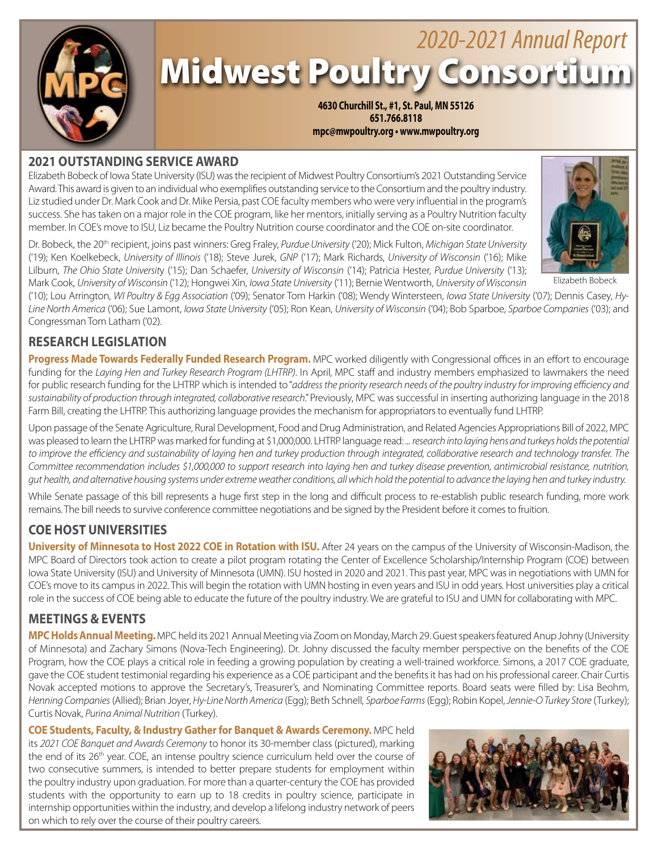

# Midwest Poultry Consortium *2020-2021 Annual Report*

**4630 Churchill St., #1, St. Paul, MN 55126 651.766.8118 mpc@mwpoultry.org • www.mwpoultry.org**

# **2021 OUTSTANDING SERVICE AWARD**

Elizabeth Bobeck of Iowa State University (ISU) was the recipient of Midwest Poultry Consortium's 2021 Outstanding Service Award. This award is given to an individual who exemplifies outstanding service to the Consortium and the poultry industry. Liz studied under Dr. Mark Cook and Dr. Mike Persia, past COE faculty members who were very influential in the program's success. She has taken on a major role in the COE program, like her mentors, initially serving as a Poultry Nutrition faculty member. In COE's move to ISU, Liz became the Poultry Nutrition course coordinator and the COE on-site coordinator.

Dr. Bobeck, the 20th recipient, joins past winners: Greg Fraley, *Purdue University* ('20); Mick Fulton, *Michigan State University* ('19); Ken Koelkebeck, *University of Illinois* ('18); Steve Jurek, *GNP* ('17); Mark Richards, *University of Wisconsin* ('16); Mike Lilburn, *The Ohio State Universit*y ('15); Dan Schaefer, *University of Wisconsin* ('14); Patricia Hester, *Purdue University* ('13); Mark Cook, *University of Wisconsin* ('12); Hongwei Xin, *Iowa State University* ('11); Bernie Wentworth, *University of Wisconsin*

('10); Lou Arrington, *WI Poultry & Egg Association* ('09); Senator Tom Harkin ('08); Wendy Wintersteen, *Iowa State University* ('07); Dennis Casey, *Hy-Line North America* ('06); Sue Lamont, *Iowa State University* ('05); Ron Kean, *University of Wisconsin* ('04); Bob Sparboe, *Sparboe Companies* ('03); and Congressman Tom Latham ('02).

# **RESEARCH LEGISLATION**

**Progress Made Towards Federally Funded Research Program.** MPC worked diligently with Congressional offices in an effort to encourage funding for the *Laying Hen and Turkey Research Program (LHTRP)*. In April, MPC staff and industry members emphasized to lawmakers the need for public research funding for the LHTRP which is intended to "*address the priority research needs of the poultry industry for improving efficiency and sustainability of production through integrated, collaborative research*." Previously, MPC was successful in inserting authorizing language in the 2018 Farm Bill, creating the LHTRP. This authorizing language provides the mechanism for appropriators to eventually fund LHTRP.

Upon passage of the Senate Agriculture, Rural Development, Food and Drug Administration, and Related Agencies Appropriations Bill of 2022, MPC was pleased to learn the LHTRP was marked for funding at \$1,000,000. LHTRP language read: *... research into laying hens and turkeys holds the potential*  to improve the efficiency and sustainability of laying hen and turkey production through integrated, collaborative research and technology transfer. The *Committee recommendation includes \$1,000,000 to support research into laying hen and turkey disease prevention, antimicrobial resistance, nutrition, gut health, and alternative housing systems under extreme weather conditions, all which hold the potential to advance the laying hen and turkey industry.*

While Senate passage of this bill represents a huge first step in the long and difficult process to re-establish public research funding, more work remains. The bill needs to survive conference committee negotiations and be signed by the President before it comes to fruition.

# **COE HOST UNIVERSITIES**

**University of Minnesota to Host 2022 COE in Rotation with ISU.** After 24 years on the campus of the University of Wisconsin-Madison, the MPC Board of Directors took action to create a pilot program rotating the Center of Excellence Scholarship/Internship Program (COE) between Iowa State University (ISU) and University of Minnesota (UMN). ISU hosted in 2020 and 2021. This past year, MPC was in negotiations with UMN for COE's move to its campus in 2022. This will begin the rotation with UMN hosting in even years and ISU in odd years. Host universities play a critical role in the success of COE being able to educate the future of the poultry industry. We are grateful to ISU and UMN for collaborating with MPC.

# **MEETINGS & EVENTS**

**MPC Holds Annual Meeting.** MPC held its 2021 Annual Meeting via Zoom on Monday, March 29. Guest speakers featured Anup Johny (University of Minnesota) and Zachary Simons (Nova-Tech Engineering). Dr. Johny discussed the faculty member perspective on the benefits of the COE Program, how the COE plays a critical role in feeding a growing population by creating a well-trained workforce. Simons, a 2017 COE graduate, gave the COE student testimonial regarding his experience as a COE participant and the benefits it has had on his professional career. Chair Curtis Novak accepted motions to approve the Secretary's, Treasurer's, and Nominating Committee reports. Board seats were filled by: Lisa Beohm, *Henning Companies* (Allied); Brian Joyer, *Hy-Line North America* (Egg); Beth Schnell, *Sparboe Farms* (Egg); Robin Kopel, *Jennie-O Turkey Store* (Turkey); Curtis Novak, *Purina Animal Nutrition* (Turkey).

**COE Students, Faculty, & Industry Gather for Banquet & Awards Ceremony.** MPC held its *2021 COE Banquet and Awards Ceremony* to honor its 30-member class (pictured), marking the end of its 26<sup>th</sup> year. COE, an intense poultry science curriculum held over the course of two consecutive summers, is intended to better prepare students for employment within the poultry industry upon graduation. For more than a quarter-century the COE has provided students with the opportunity to earn up to 18 credits in poultry science, participate in internship opportunities within the industry, and develop a lifelong industry network of peers on which to rely over the course of their poultry careers.





Elizabeth Bobeck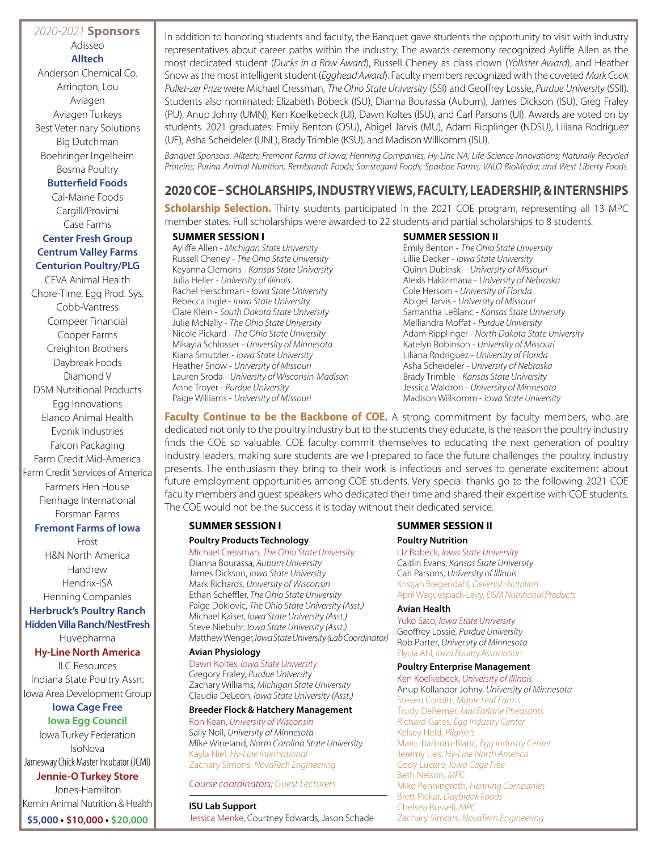# *2020-2021* **Sponsors** Adisseo **Alltech**

Anderson Chemical Co. Arrington, Lou Aviagen Aviagen Turkeys Best Veterinary Solutions Big Dutchman Boehringer Ingelheim Bosma Poultry

### **Butterfield Foods**

Cal-Maine Foods Cargill/Provimi Case Farms

# **Center Fresh Group Centrum Valley Farms Centurion Poultry/PLG**

CEVA Animal Health Chore-Time, Egg Prod. Sys. Cobb-Vantress Compeer Financial Cooper Farms Creighton Brothers Daybreak Foods Diamond V DSM Nutritional Products Egg Innovations Elanco Animal Health Evonik Industries Falcon Packaging Farm Credit Mid-America Farm Credit Services of America Farmers Hen House Fienhage International Forsman Farms

#### **Fremont Farms of Iowa**

Frost H&N North America Handrew Hendrix-ISA Henning Companies **Herbruck's Poultry Ranch Hidden Villa Ranch/NestFresh** Huvepharma

#### **Hy-Line North America**

ILC Resources Indiana State Poultry Assn. Iowa Area Development Group

# **Iowa Cage Free**

**Iowa Egg Council** Iowa Turkey Federation IsoNova Jamesway Chick Master Incubator (JCMI)

**Jennie-O Turkey Store** Jones-Hamilton Kemin Animal Nutrition & Health **\$5,000 • \$10,000 • \$20,000**

In addition to honoring students and faculty, the Banquet gave students the opportunity to visit with industry representatives about career paths within the industry. The awards ceremony recognized Ayliffe Allen as the most dedicated student (*Ducks in a Row Award*), Russell Cheney as class clown (*Yolkster Award*), and Heather Snow as the most intelligent student (*Egghead Award*). Faculty members recognized with the coveted *Mark Cook Pullet-zer Prize* were Michael Cressman, *The Ohio State University* (SSI) and Geoffrey Lossie, *Purdue University* (SSII). Students also nominated: Elizabeth Bobeck (ISU), Dianna Bourassa (Auburn), James Dickson (ISU), Greg Fraley (PU), Anup Johny (UMN), Ken Koelkebeck (UI), Dawn Koltes (ISU), and Carl Parsons (UI). Awards are voted on by students. 2021 graduates: Emily Benton (OSU), Abigel Jarvis (MU), Adam Ripplinger (NDSU), Liliana Rodriguez (UF), Asha Scheideler (UNL), Brady Trimble (KSU), and Madison Willkomm (ISU).

*Banquet Sponsors: Alltech; Fremont Farms of Iowa; Henning Companies; Hy-Line NA; Life-Science Innovations; Naturally Recycled Proteins; Purina Animal Nutrition; Rembrandt Foods; Sonstegard Foods; Sparboe Farms; VALO BioMedia; and West Liberty Foods.* 

# **2020 COE – SCHOLARSHIPS, INDUSTRY VIEWS, FACULTY, LEADERSHIP, & INTERNSHIPS**

**Scholarship Selection.** Thirty students participated in the 2021 COE program, representing all 13 MPC member states. Full scholarships were awarded to 22 students and partial scholarships to 8 students.

## **SUMMER SESSION I**

Ayliffe Allen - *Michigan State University* Russell Cheney - *The Ohio State University* Keyanna Clemons - *Kansas State University* Julia Heller - *University of Illinois* Rachel Herschman - *Iowa State University* Rebecca Ingle - *Iowa State University* Clare Klein - *South Dakota State University* Julie McNally - *The Ohio State University* Nicole Pickard - *The Ohio State University* Mikayla Schlosser - *University of Minnesota* Kiana Smutzler - *Iowa State University* Heather Snow - *University of Missouri* Lauren Sroda - *University of Wisconsin-Madison* Anne Troyer - *Purdue University* Paige Williams - *University of Missouri*

## **SUMMER SESSION II**

Emily Benton - *The Ohio State University* Lillie Decker - *Iowa State University* Quinn Dubinski - *University of Missouri* Alexis Hakizimana - *University of Nebraska* Cole Hersom - *University of Florida* Abigel Jarvis - *University of Missouri* Samantha LeBlanc - *Kansas State University* Melliandra Moffat - *Purdue University* Adam Ripplinger - *North Dakota State University* Katelyn Robinson - *University of Missouri* Liliana Rodriguez - *University of Florida* Asha Scheideler - *University of Nebraska* Brady Trimble - *Kansas State University* Jessica Waldron - *University of Minnesota* Madison Willkomm - *Iowa State University*

**Faculty Continue to be the Backbone of COE.** A strong commitment by faculty members, who are dedicated not only to the poultry industry but to the students they educate, is the reason the poultry industry finds the COE so valuable. COE faculty commit themselves to educating the next generation of poultry industry leaders, making sure students are well-prepared to face the future challenges the poultry industry presents. The enthusiasm they bring to their work is infectious and serves to generate excitement about future employment opportunities among COE students. Very special thanks go to the following 2021 COE faculty members and guest speakers who dedicated their time and shared their expertise with COE students. The COE would not be the success it is today without their dedicated service.

# **SUMMER SESSION I**

#### **Poultry Products Technology**

Michael Cressman, *The Ohio State University* Dianna Bourassa, *Auburn University* James Dickson, *Iowa State University* Mark Richards, *University of Wisconsin* Ethan Scheffler, *The Ohio State University* Paige Doklovic, *The Ohio State University (Asst.)* Michael Kaiser, *Iowa State University (Asst.)* Steve Niebuhr, *Iowa State University (Asst.)* Matthew Wenger, *Iowa State University (Lab Coordinator)*

#### **Avian Physiology**

Dawn Koltes, *Iowa State University* Gregory Fraley, *Purdue University* Zachary Williams, *Michigan State University* Claudia DeLeon, *Iowa State University (Asst.)*

#### **Breeder Flock & Hatchery Management**

Ron Kean, *University of Wisconsin* Sally Noll, *University of Minnesota* Mike Wineland, *North Carolina State University* Kayla Niel, *Hy-Line International* Zachary Simons, *NovaTech Engineering*

#### *Course coordinators; Guest Lecturers*

**ISU Lab Support** Jessica Menke, Courtney Edwards, Jason Schade

## **SUMMER SESSION II**

#### **Poultry Nutrition**

Liz Bobeck, *Iowa State University* Caitlin Evans, *Kansas State University* Carl Parsons, *University of Illinois* Kristjan Bregendahl, *Devenish Nutrition* April Waguespack-Levy, *DSM Nutritional Products*

#### **Avian Health**

Yuko Sato, *Iowa State University* Geoffrey Lossie, *Purdue University* Rob Porter, *University of Minnesota* Elycia Ahl, *Iowa Poultry Association*

#### **Poultry Enterprise Management**

Ken Koelkebeck, *University of Illinois* Anup Kollanoor Johny, *University of Minnesota* Steven Corbitt, *Maple Leaf Farms* Trudy DeRemer, *MacFarlane Pheasants* Richard Gates, *Egg Industry Center* Kelsey Held, *Pilgrim's* Maro Ibarburu-Blanc, *Egg Industry Center* Jeremy Lies, *Hy-Line North America* Cody Lucero, *Iowa Cage Free* Beth Nelson, *MPC* Mike Penningroth, *Henning Companies* Brett Pickar, *Daybreak Foods* Chelsea Russell, *MPC* Zachary Simons, *NovaTech Engineering*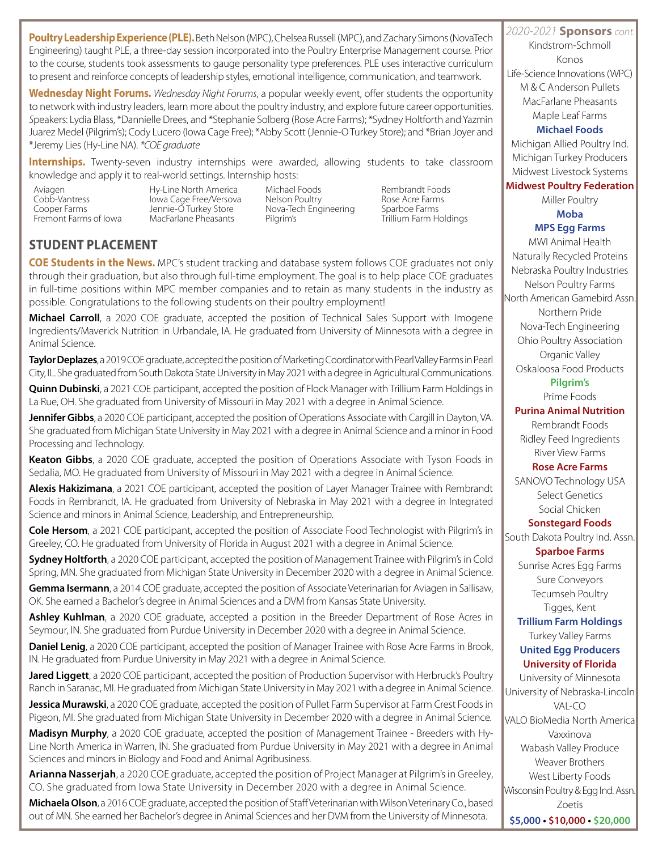**Poultry Leadership Experience (PLE).** Beth Nelson (MPC), Chelsea Russell (MPC), and Zachary Simons (NovaTech 2020-2021 **Sponsors** con Engineering) taught PLE, a three-day session incorporated into the Poultry Enterprise Management course. Prior to the course, students took assessments to gauge personality type preferences. PLE uses interactive curriculum to present and reinforce concepts of leadership styles, emotional intelligence, communication, and teamwork.

**Wednesday Night Forums.** *Wednesday Night Forums*, a popular weekly event, offer students the opportunity to network with industry leaders, learn more about the poultry industry, and explore future career opportunities. *S*peakers: Lydia Blass, \*Dannielle Drees, and \*Stephanie Solberg (Rose Acre Farms); \*Sydney Holtforth and Yazmin Juarez Medel (Pilgrim's); Cody Lucero (Iowa Cage Free); \*Abby Scott (Jennie-O Turkey Store); and \*Brian Joyer and \*Jeremy Lies (Hy-Line NA). *\*COE graduate*

**Internships.** Twenty-seven industry internships were awarded, allowing students to take classroom knowledge and apply it to real-world settings. Internship hosts:

Aviagen Hy-Line North America Michael Foods Rembrandt Foods Cobb-Vantress Iowa Cage Free/Versova Nelson Poultry Rose Acre Farms Cooper Farms Jennie-O Turkey Store Nova-Tech Engineering Sparboe Farms MacFarlane Pheasants

# **STUDENT PLACEMENT**

**COE Students in the News.** MPC's student tracking and database system follows COE graduates not only through their graduation, but also through full-time employment. The goal is to help place COE graduates in full-time positions within MPC member companies and to retain as many students in the industry as possible. Congratulations to the following students on their poultry employment!

**Michael Carroll**, a 2020 COE graduate, accepted the position of Technical Sales Support with Imogene Ingredients/Maverick Nutrition in Urbandale, IA. He graduated from University of Minnesota with a degree in Animal Science.

**Taylor Deplazes**, a 2019 COE graduate, accepted the position of Marketing Coordinator with Pearl Valley Farms in Pearl City, IL. She graduated from South Dakota State University in May 2021 with a degree in Agricultural Communications.

**Quinn Dubinski**, a 2021 COE participant, accepted the position of Flock Manager with Trillium Farm Holdings in La Rue, OH. She graduated from University of Missouri in May 2021 with a degree in Animal Science.

**Jennifer Gibbs**, a 2020 COE participant, accepted the position of Operations Associate with Cargill in Dayton, VA. She graduated from Michigan State University in May 2021 with a degree in Animal Science and a minor in Food Processing and Technology.

**Keaton Gibbs**, a 2020 COE graduate, accepted the position of Operations Associate with Tyson Foods in Sedalia, MO. He graduated from University of Missouri in May 2021 with a degree in Animal Science.

**Alexis Hakizimana**, a 2021 COE participant, accepted the position of Layer Manager Trainee with Rembrandt Foods in Rembrandt, IA. He graduated from University of Nebraska in May 2021 with a degree in Integrated Science and minors in Animal Science, Leadership, and Entrepreneurship.

**Cole Hersom**, a 2021 COE participant, accepted the position of Associate Food Technologist with Pilgrim's in Greeley, CO. He graduated from University of Florida in August 2021 with a degree in Animal Science.

**Sydney Holtforth**, a 2020 COE participant, accepted the position of Management Trainee with Pilgrim's in Cold Spring, MN. She graduated from Michigan State University in December 2020 with a degree in Animal Science.

**Gemma Isermann**, a 2014 COE graduate, accepted the position of Associate Veterinarian for Aviagen in Sallisaw, OK. She earned a Bachelor's degree in Animal Sciences and a DVM from Kansas State University.

**Ashley Kuhlman**, a 2020 COE graduate, accepted a position in the Breeder Department of Rose Acres in Seymour, IN. She graduated from Purdue University in December 2020 with a degree in Animal Science.

**Daniel Lenig**, a 2020 COE participant, accepted the position of Manager Trainee with Rose Acre Farms in Brook, IN. He graduated from Purdue University in May 2021 with a degree in Animal Science.

**Jared Liggett**, a 2020 COE participant, accepted the position of Production Supervisor with Herbruck's Poultry Ranch in Saranac, MI. He graduated from Michigan State University in May 2021 with a degree in Animal Science.

**Jessica Murawski**, a 2020 COE graduate, accepted the position of Pullet Farm Supervisor at Farm Crest Foods in Pigeon, MI. She graduated from Michigan State University in December 2020 with a degree in Animal Science.

**Madisyn Murphy**, a 2020 COE graduate, accepted the position of Management Trainee - Breeders with Hy-Line North America in Warren, IN. She graduated from Purdue University in May 2021 with a degree in Animal Sciences and minors in Biology and Food and Animal Agribusiness.

**Arianna Nasserjah**, a 2020 COE graduate, accepted the position of Project Manager at Pilgrim's in Greeley, CO. She graduated from Iowa State University in December 2020 with a degree in Animal Science.

**Michaela Olson**, a 2016 COE graduate, accepted the position of Staff Veterinarian with Wilson Veterinary Co., based out of MN. She earned her Bachelor's degree in Animal Sciences and her DVM from the University of Minnesota.

Kindstrom-Schmoll Konos Life-Science Innovations (WPC) M & C Anderson Pullets MacFarlane Pheasants Maple Leaf Farms

## **Michael Foods**

Michigan Allied Poultry Ind. Michigan Turkey Producers Midwest Livestock Systems

## **Midwest Poultry Federation**

Miller Poultry **Moba**

# **MPS Egg Farms**

MWI Animal Health Naturally Recycled Proteins Nebraska Poultry Industries Nelson Poultry Farms North American Gamebird Assn. Northern Pride Nova-Tech Engineering Ohio Poultry Association Organic Valley Oskaloosa Food Products **Pilgrim's** Prime Foods

## **Purina Animal Nutrition**

Rembrandt Foods Ridley Feed Ingredients River View Farms

## **Rose Acre Farms**

SANOVO Technology USA Select Genetics Social Chicken

## **Sonstegard Foods**

South Dakota Poultry Ind. Assn.

## **Sparboe Farms**

Sunrise Acres Egg Farms Sure Conveyors Tecumseh Poultry Tigges, Kent

# **Trillium Farm Holdings** Turkey Valley Farms

# **United Egg Producers University of Florida**

University of Minnesota University of Nebraska-Lincoln VAL-CO VALO BioMedia North America Vaxxinova Wabash Valley Produce Weaver Brothers West Liberty Foods Wisconsin Poultry & Egg Ind. Assn. Zoetis **\$5,000 • \$10,000 • \$20,000**